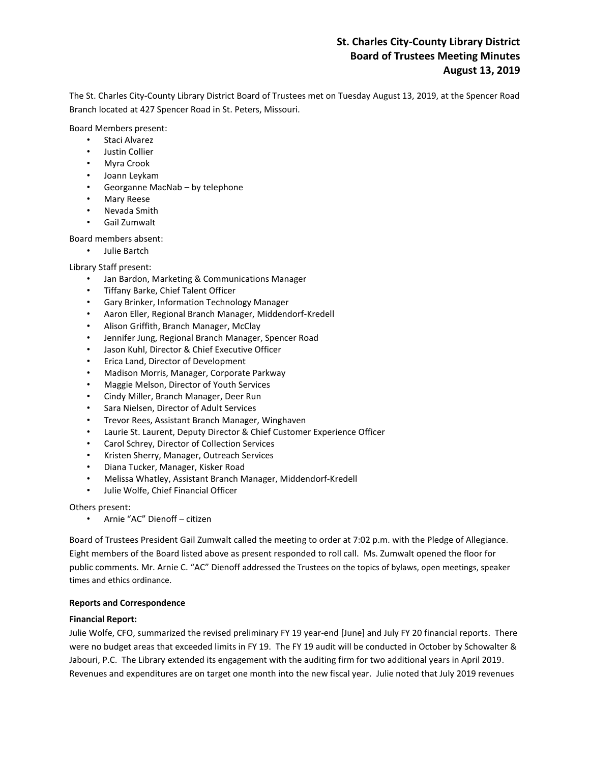# **St. Charles City-County Library District Board of Trustees Meeting Minutes August 13, 2019**

The St. Charles City-County Library District Board of Trustees met on Tuesday August 13, 2019, at the Spencer Road Branch located at 427 Spencer Road in St. Peters, Missouri.

Board Members present:

- Staci Alvarez
- Justin Collier
- Myra Crook
- Joann Leykam
- Georganne MacNab by telephone
- Mary Reese
- Nevada Smith
- Gail Zumwalt

Board members absent:

• Julie Bartch

Library Staff present:

- Jan Bardon, Marketing & Communications Manager
- Tiffany Barke, Chief Talent Officer
- Gary Brinker, Information Technology Manager
- Aaron Eller, Regional Branch Manager, Middendorf-Kredell
- Alison Griffith, Branch Manager, McClay
- Jennifer Jung, Regional Branch Manager, Spencer Road
- Jason Kuhl, Director & Chief Executive Officer
- Erica Land, Director of Development
- Madison Morris, Manager, Corporate Parkway
- Maggie Melson, Director of Youth Services
- Cindy Miller, Branch Manager, Deer Run
- Sara Nielsen, Director of Adult Services
- Trevor Rees, Assistant Branch Manager, Winghaven
- Laurie St. Laurent, Deputy Director & Chief Customer Experience Officer
- Carol Schrey, Director of Collection Services
- Kristen Sherry, Manager, Outreach Services
- Diana Tucker, Manager, Kisker Road
- Melissa Whatley, Assistant Branch Manager, Middendorf-Kredell
- Julie Wolfe, Chief Financial Officer

Others present:

• Arnie "AC" Dienoff – citizen

Board of Trustees President Gail Zumwalt called the meeting to order at 7:02 p.m. with the Pledge of Allegiance. Eight members of the Board listed above as present responded to roll call. Ms. Zumwalt opened the floor for public comments. Mr. Arnie C. "AC" Dienoff addressed the Trustees on the topics of bylaws, open meetings, speaker times and ethics ordinance.

### **Reports and Correspondence**

### **Financial Report:**

Julie Wolfe, CFO, summarized the revised preliminary FY 19 year-end [June] and July FY 20 financial reports. There were no budget areas that exceeded limits in FY 19. The FY 19 audit will be conducted in October by Schowalter & Jabouri, P.C. The Library extended its engagement with the auditing firm for two additional years in April 2019. Revenues and expenditures are on target one month into the new fiscal year. Julie noted that July 2019 revenues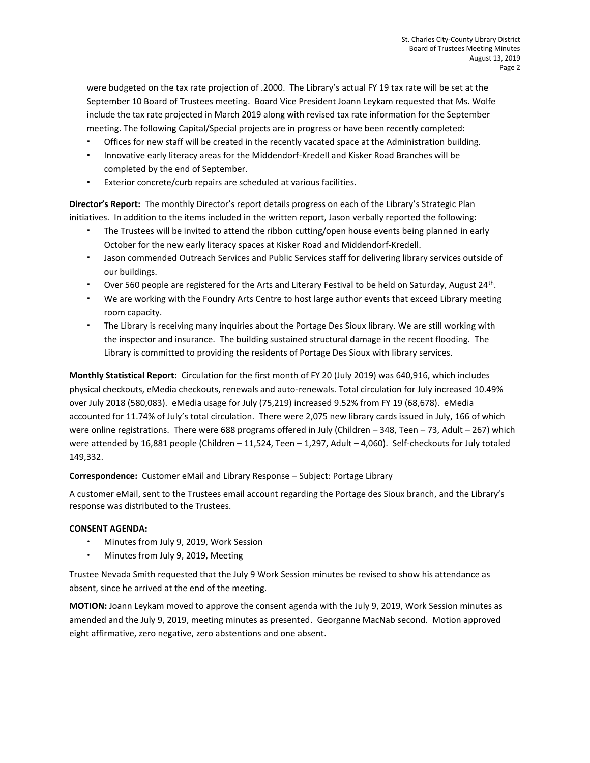were budgeted on the tax rate projection of .2000. The Library's actual FY 19 tax rate will be set at the September 10 Board of Trustees meeting. Board Vice President Joann Leykam requested that Ms. Wolfe include the tax rate projected in March 2019 along with revised tax rate information for the September meeting. The following Capital/Special projects are in progress or have been recently completed:

- Offices for new staff will be created in the recently vacated space at the Administration building.
- Innovative early literacy areas for the Middendorf-Kredell and Kisker Road Branches will be completed by the end of September.
- Exterior concrete/curb repairs are scheduled at various facilities.

**Director's Report:** The monthly Director's report details progress on each of the Library's Strategic Plan initiatives. In addition to the items included in the written report, Jason verbally reported the following:

- The Trustees will be invited to attend the ribbon cutting/open house events being planned in early October for the new early literacy spaces at Kisker Road and Middendorf-Kredell.
- Jason commended Outreach Services and Public Services staff for delivering library services outside of our buildings.
- Over 560 people are registered for the Arts and Literary Festival to be held on Saturday, August 24<sup>th</sup>.
- We are working with the Foundry Arts Centre to host large author events that exceed Library meeting room capacity.
- The Library is receiving many inquiries about the Portage Des Sioux library. We are still working with the inspector and insurance. The building sustained structural damage in the recent flooding. The Library is committed to providing the residents of Portage Des Sioux with library services.

**Monthly Statistical Report:** Circulation for the first month of FY 20 (July 2019) was 640,916, which includes physical checkouts, eMedia checkouts, renewals and auto-renewals. Total circulation for July increased 10.49% over July 2018 (580,083). eMedia usage for July (75,219) increased 9.52% from FY 19 (68,678). eMedia accounted for 11.74% of July's total circulation. There were 2,075 new library cards issued in July, 166 of which were online registrations. There were 688 programs offered in July (Children – 348, Teen – 73, Adult – 267) which were attended by 16,881 people (Children – 11,524, Teen – 1,297, Adult – 4,060). Self-checkouts for July totaled 149,332.

## **Correspondence:** Customer eMail and Library Response – Subject: Portage Library

A customer eMail, sent to the Trustees email account regarding the Portage des Sioux branch, and the Library's response was distributed to the Trustees.

## **CONSENT AGENDA:**

- Minutes from July 9, 2019, Work Session
- Minutes from July 9, 2019, Meeting

Trustee Nevada Smith requested that the July 9 Work Session minutes be revised to show his attendance as absent, since he arrived at the end of the meeting.

**MOTION:** Joann Leykam moved to approve the consent agenda with the July 9, 2019, Work Session minutes as amended and the July 9, 2019, meeting minutes as presented. Georganne MacNab second. Motion approved eight affirmative, zero negative, zero abstentions and one absent.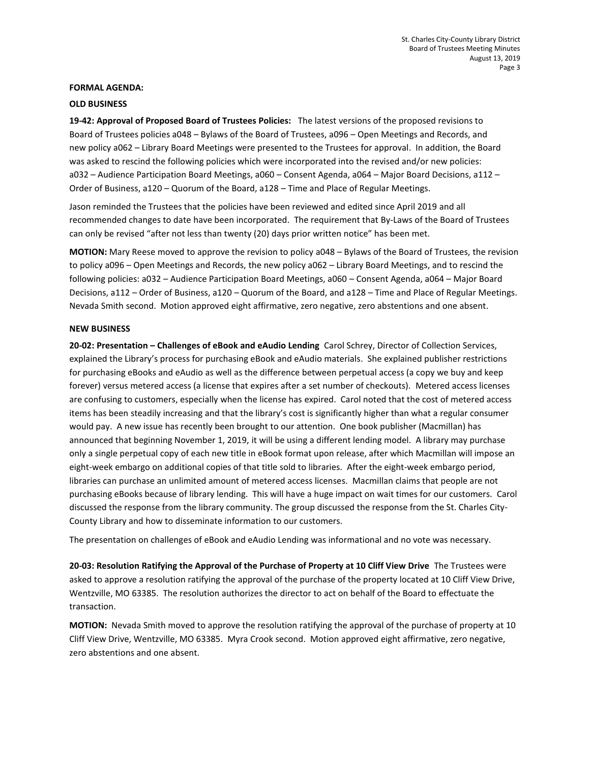#### **FORMAL AGENDA:**

#### **OLD BUSINESS**

**19-42: Approval of Proposed Board of Trustees Policies:** The latest versions of the proposed revisions to Board of Trustees policies a048 – Bylaws of the Board of Trustees, a096 – Open Meetings and Records, and new policy a062 – Library Board Meetings were presented to the Trustees for approval. In addition, the Board was asked to rescind the following policies which were incorporated into the revised and/or new policies: a032 – Audience Participation Board Meetings, a060 – Consent Agenda, a064 – Major Board Decisions, a112 – Order of Business, a120 – Quorum of the Board, a128 – Time and Place of Regular Meetings.

Jason reminded the Trustees that the policies have been reviewed and edited since April 2019 and all recommended changes to date have been incorporated. The requirement that By-Laws of the Board of Trustees can only be revised "after not less than twenty (20) days prior written notice" has been met.

**MOTION:** Mary Reese moved to approve the revision to policy a048 – Bylaws of the Board of Trustees, the revision to policy a096 – Open Meetings and Records, the new policy a062 – Library Board Meetings, and to rescind the following policies: a032 – Audience Participation Board Meetings, a060 – Consent Agenda, a064 – Major Board Decisions, a112 – Order of Business, a120 – Quorum of the Board, and a128 – Time and Place of Regular Meetings. Nevada Smith second. Motion approved eight affirmative, zero negative, zero abstentions and one absent.

#### **NEW BUSINESS**

**20-02: Presentation – Challenges of eBook and eAudio Lending** Carol Schrey, Director of Collection Services, explained the Library's process for purchasing eBook and eAudio materials. She explained publisher restrictions for purchasing eBooks and eAudio as well as the difference between perpetual access (a copy we buy and keep forever) versus metered access (a license that expires after a set number of checkouts). Metered access licenses are confusing to customers, especially when the license has expired. Carol noted that the cost of metered access items has been steadily increasing and that the library's cost is significantly higher than what a regular consumer would pay. A new issue has recently been brought to our attention. One book publisher (Macmillan) has announced that beginning November 1, 2019, it will be using a different lending model. A library may purchase only a single perpetual copy of each new title in eBook format upon release, after which Macmillan will impose an eight-week embargo on additional copies of that title sold to libraries. After the eight-week embargo period, libraries can purchase an unlimited amount of metered access licenses. Macmillan claims that people are not purchasing eBooks because of library lending. This will have a huge impact on wait times for our customers. Carol discussed the response from the library community. The group discussed the response from the St. Charles City-County Library and how to disseminate information to our customers.

The presentation on challenges of eBook and eAudio Lending was informational and no vote was necessary.

**20-03: Resolution Ratifying the Approval of the Purchase of Property at 10 Cliff View Drive** The Trustees were asked to approve a resolution ratifying the approval of the purchase of the property located at 10 Cliff View Drive, Wentzville, MO 63385. The resolution authorizes the director to act on behalf of the Board to effectuate the transaction.

**MOTION:** Nevada Smith moved to approve the resolution ratifying the approval of the purchase of property at 10 Cliff View Drive, Wentzville, MO 63385. Myra Crook second. Motion approved eight affirmative, zero negative, zero abstentions and one absent.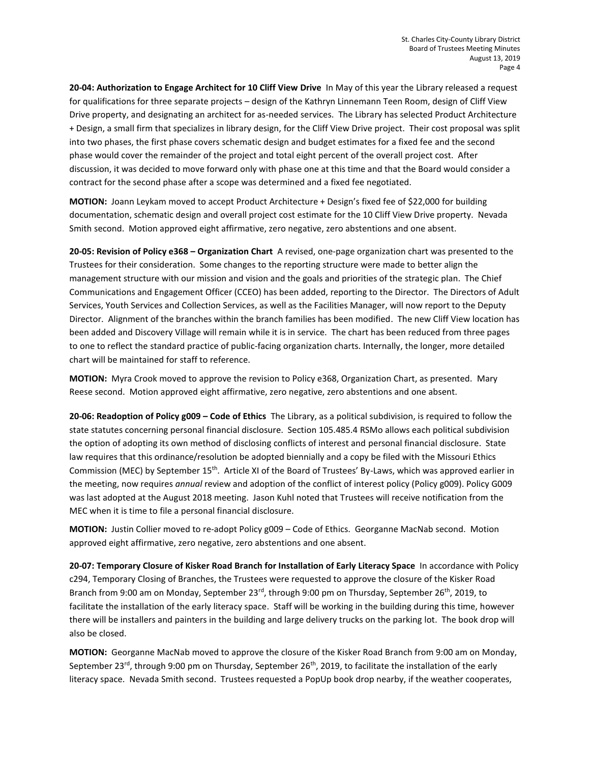**20-04: Authorization to Engage Architect for 10 Cliff View Drive** In May of this year the Library released a request for qualifications for three separate projects – design of the Kathryn Linnemann Teen Room, design of Cliff View Drive property, and designating an architect for as-needed services. The Library has selected Product Architecture + Design, a small firm that specializes in library design, for the Cliff View Drive project. Their cost proposal was split into two phases, the first phase covers schematic design and budget estimates for a fixed fee and the second phase would cover the remainder of the project and total eight percent of the overall project cost. After discussion, it was decided to move forward only with phase one at this time and that the Board would consider a contract for the second phase after a scope was determined and a fixed fee negotiated.

**MOTION:** Joann Leykam moved to accept Product Architecture + Design's fixed fee of \$22,000 for building documentation, schematic design and overall project cost estimate for the 10 Cliff View Drive property. Nevada Smith second. Motion approved eight affirmative, zero negative, zero abstentions and one absent.

**20-05: Revision of Policy e368 – Organization Chart** A revised, one-page organization chart was presented to the Trustees for their consideration. Some changes to the reporting structure were made to better align the management structure with our mission and vision and the goals and priorities of the strategic plan. The Chief Communications and Engagement Officer (CCEO) has been added, reporting to the Director. The Directors of Adult Services, Youth Services and Collection Services, as well as the Facilities Manager, will now report to the Deputy Director. Alignment of the branches within the branch families has been modified. The new Cliff View location has been added and Discovery Village will remain while it is in service. The chart has been reduced from three pages to one to reflect the standard practice of public-facing organization charts. Internally, the longer, more detailed chart will be maintained for staff to reference.

**MOTION:** Myra Crook moved to approve the revision to Policy e368, Organization Chart, as presented. Mary Reese second. Motion approved eight affirmative, zero negative, zero abstentions and one absent.

**20-06: Readoption of Policy g009 – Code of Ethics** The Library, as a political subdivision, is required to follow the state statutes concerning personal financial disclosure. Section 105.485.4 RSMo allows each political subdivision the option of adopting its own method of disclosing conflicts of interest and personal financial disclosure. State law requires that this ordinance/resolution be adopted biennially and a copy be filed with the Missouri Ethics Commission (MEC) by September 15<sup>th</sup>. Article XI of the Board of Trustees' By-Laws, which was approved earlier in the meeting, now requires *annual* review and adoption of the conflict of interest policy (Policy g009). Policy G009 was last adopted at the August 2018 meeting. Jason Kuhl noted that Trustees will receive notification from the MEC when it is time to file a personal financial disclosure.

**MOTION:** Justin Collier moved to re-adopt Policy g009 – Code of Ethics. Georganne MacNab second. Motion approved eight affirmative, zero negative, zero abstentions and one absent.

**20-07: Temporary Closure of Kisker Road Branch for Installation of Early Literacy Space** In accordance with Policy c294, Temporary Closing of Branches, the Trustees were requested to approve the closure of the Kisker Road Branch from 9:00 am on Monday, September 23<sup>rd</sup>, through 9:00 pm on Thursday, September 26<sup>th</sup>, 2019, to facilitate the installation of the early literacy space. Staff will be working in the building during this time, however there will be installers and painters in the building and large delivery trucks on the parking lot. The book drop will also be closed.

**MOTION:** Georganne MacNab moved to approve the closure of the Kisker Road Branch from 9:00 am on Monday, September 23<sup>rd</sup>, through 9:00 pm on Thursday, September 26<sup>th</sup>, 2019, to facilitate the installation of the early literacy space. Nevada Smith second. Trustees requested a PopUp book drop nearby, if the weather cooperates,